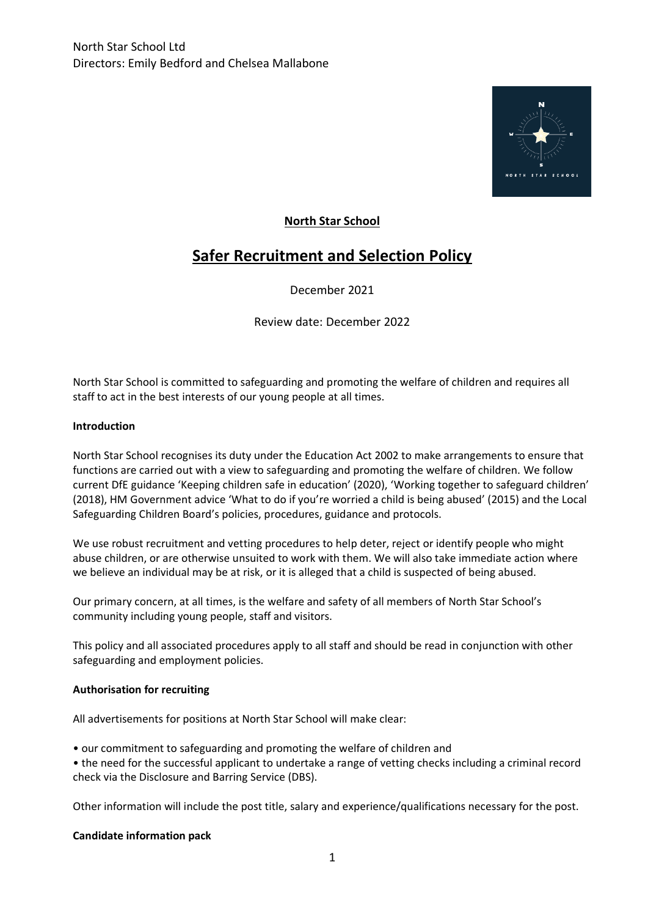

# **North Star School**

# **Safer Recruitment and Selection Policy**

December 2021

Review date: December 2022

North Star School is committed to safeguarding and promoting the welfare of children and requires all staff to act in the best interests of our young people at all times.

#### **Introduction**

North Star School recognises its duty under the Education Act 2002 to make arrangements to ensure that functions are carried out with a view to safeguarding and promoting the welfare of children. We follow current DfE guidance 'Keeping children safe in education' (2020), 'Working together to safeguard children' (2018), HM Government advice 'What to do if you're worried a child is being abused' (2015) and the Local Safeguarding Children Board's policies, procedures, guidance and protocols.

We use robust recruitment and vetting procedures to help deter, reject or identify people who might abuse children, or are otherwise unsuited to work with them. We will also take immediate action where we believe an individual may be at risk, or it is alleged that a child is suspected of being abused.

Our primary concern, at all times, is the welfare and safety of all members of North Star School's community including young people, staff and visitors.

This policy and all associated procedures apply to all staff and should be read in conjunction with other safeguarding and employment policies.

#### **Authorisation for recruiting**

All advertisements for positions at North Star School will make clear:

• our commitment to safeguarding and promoting the welfare of children and

• the need for the successful applicant to undertake a range of vetting checks including a criminal record check via the Disclosure and Barring Service (DBS).

Other information will include the post title, salary and experience/qualifications necessary for the post.

#### **Candidate information pack**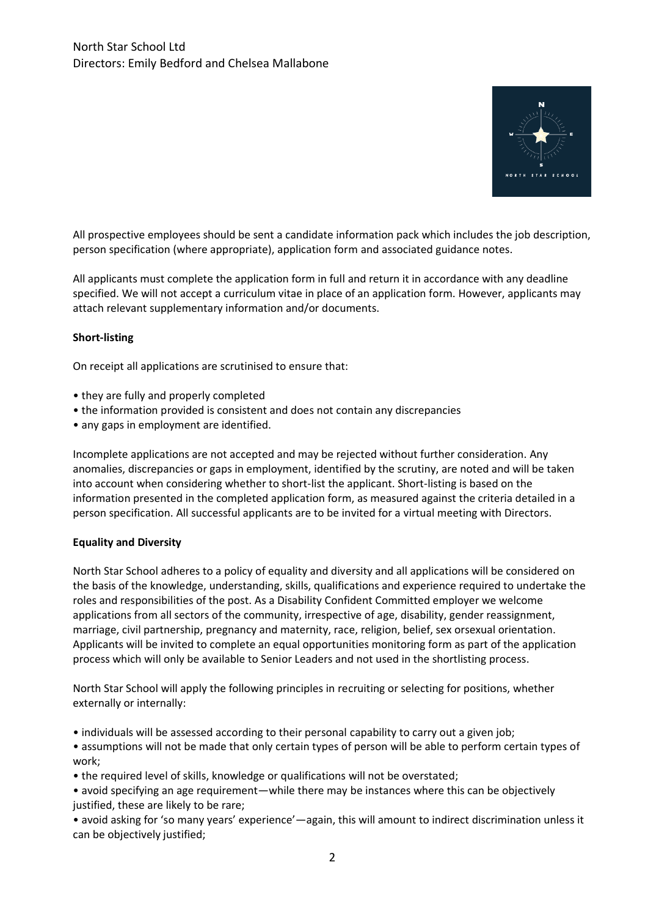

All prospective employees should be sent a candidate information pack which includes the job description, person specification (where appropriate), application form and associated guidance notes.

All applicants must complete the application form in full and return it in accordance with any deadline specified. We will not accept a curriculum vitae in place of an application form. However, applicants may attach relevant supplementary information and/or documents.

## **Short-listing**

On receipt all applications are scrutinised to ensure that:

- they are fully and properly completed
- the information provided is consistent and does not contain any discrepancies
- any gaps in employment are identified.

Incomplete applications are not accepted and may be rejected without further consideration. Any anomalies, discrepancies or gaps in employment, identified by the scrutiny, are noted and will be taken into account when considering whether to short-list the applicant. Short-listing is based on the information presented in the completed application form, as measured against the criteria detailed in a person specification. All successful applicants are to be invited for a virtual meeting with Directors.

#### **Equality and Diversity**

North Star School adheres to a policy of equality and diversity and all applications will be considered on the basis of the knowledge, understanding, skills, qualifications and experience required to undertake the roles and responsibilities of the post. As a Disability Confident Committed employer we welcome applications from all sectors of the community, irrespective of age, disability, gender reassignment, marriage, civil partnership, pregnancy and maternity, race, religion, belief, sex orsexual orientation. Applicants will be invited to complete an equal opportunities monitoring form as part of the application process which will only be available to Senior Leaders and not used in the shortlisting process.

North Star School will apply the following principles in recruiting or selecting for positions, whether externally or internally:

• individuals will be assessed according to their personal capability to carry out a given job;

- assumptions will not be made that only certain types of person will be able to perform certain types of work;
- the required level of skills, knowledge or qualifications will not be overstated;

• avoid specifying an age requirement—while there may be instances where this can be objectively justified, these are likely to be rare;

• avoid asking for 'so many years' experience'—again, this will amount to indirect discrimination unless it can be objectively justified;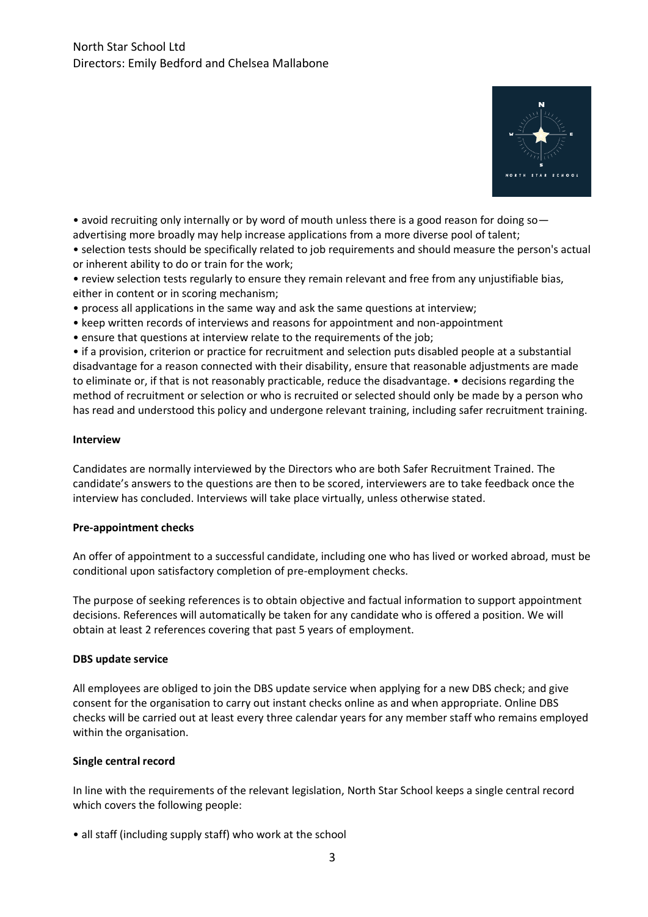

• avoid recruiting only internally or by word of mouth unless there is a good reason for doing soadvertising more broadly may help increase applications from a more diverse pool of talent;

• selection tests should be specifically related to job requirements and should measure the person's actual or inherent ability to do or train for the work;

- review selection tests regularly to ensure they remain relevant and free from any unjustifiable bias, either in content or in scoring mechanism;
- process all applications in the same way and ask the same questions at interview;
- keep written records of interviews and reasons for appointment and non-appointment
- ensure that questions at interview relate to the requirements of the job;

• if a provision, criterion or practice for recruitment and selection puts disabled people at a substantial disadvantage for a reason connected with their disability, ensure that reasonable adjustments are made to eliminate or, if that is not reasonably practicable, reduce the disadvantage. • decisions regarding the method of recruitment or selection or who is recruited or selected should only be made by a person who has read and understood this policy and undergone relevant training, including safer recruitment training.

#### **Interview**

Candidates are normally interviewed by the Directors who are both Safer Recruitment Trained. The candidate's answers to the questions are then to be scored, interviewers are to take feedback once the interview has concluded. Interviews will take place virtually, unless otherwise stated.

#### **Pre-appointment checks**

An offer of appointment to a successful candidate, including one who has lived or worked abroad, must be conditional upon satisfactory completion of pre-employment checks.

The purpose of seeking references is to obtain objective and factual information to support appointment decisions. References will automatically be taken for any candidate who is offered a position. We will obtain at least 2 references covering that past 5 years of employment.

#### **DBS update service**

All employees are obliged to join the DBS update service when applying for a new DBS check; and give consent for the organisation to carry out instant checks online as and when appropriate. Online DBS checks will be carried out at least every three calendar years for any member staff who remains employed within the organisation.

#### **Single central record**

In line with the requirements of the relevant legislation, North Star School keeps a single central record which covers the following people:

• all staff (including supply staff) who work at the school